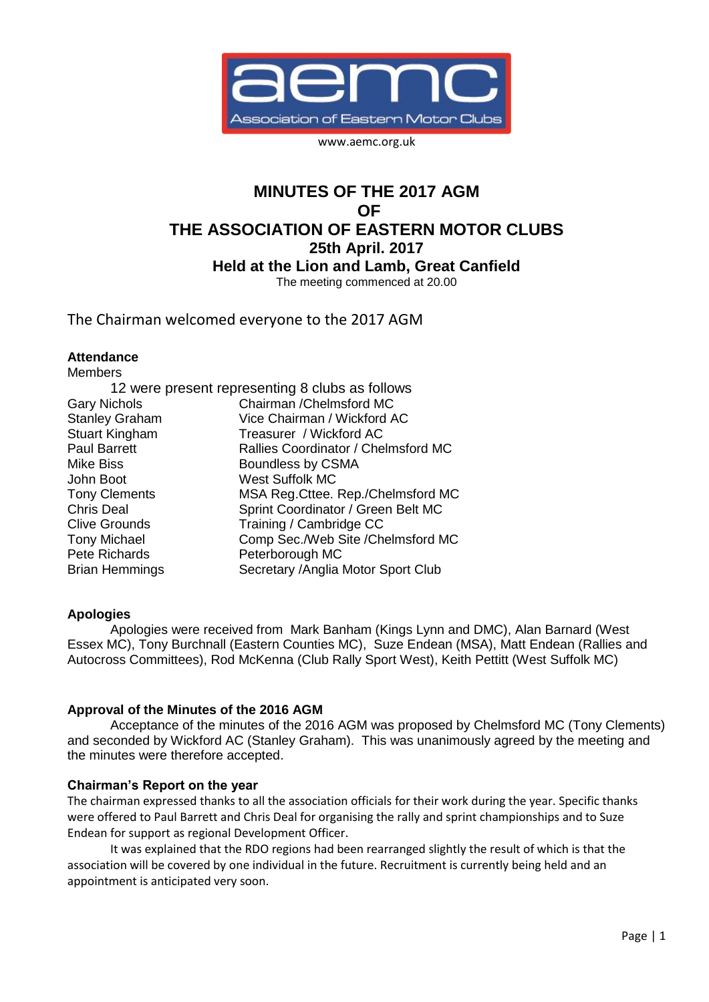

www.aemc.org.uk

# **MINUTES OF THE 2017 AGM OF THE ASSOCIATION OF EASTERN MOTOR CLUBS 25th April. 2017 Held at the Lion and Lamb, Great Canfield** The meeting commenced at 20.00

The Chairman welcomed everyone to the 2017 AGM

#### **Attendance** Members

| <b>Members</b>                                  |                                     |  |
|-------------------------------------------------|-------------------------------------|--|
| 12 were present representing 8 clubs as follows |                                     |  |
| <b>Gary Nichols</b>                             | Chairman / Chelmsford MC            |  |
| <b>Stanley Graham</b>                           | Vice Chairman / Wickford AC         |  |
| <b>Stuart Kingham</b>                           | Treasurer / Wickford AC             |  |
| <b>Paul Barrett</b>                             | Rallies Coordinator / Chelmsford MC |  |
| <b>Mike Biss</b>                                | Boundless by CSMA                   |  |
| John Boot                                       | <b>West Suffolk MC</b>              |  |
| <b>Tony Clements</b>                            | MSA Reg. Cttee. Rep./Chelmsford MC  |  |
| <b>Chris Deal</b>                               | Sprint Coordinator / Green Belt MC  |  |
| <b>Clive Grounds</b>                            | Training / Cambridge CC             |  |
| <b>Tony Michael</b>                             | Comp Sec./Web Site /Chelmsford MC   |  |
| Pete Richards                                   | Peterborough MC                     |  |
| <b>Brian Hemmings</b>                           | Secretary / Anglia Motor Sport Club |  |

## **Apologies**

Apologies were received from Mark Banham (Kings Lynn and DMC), Alan Barnard (West Essex MC), Tony Burchnall (Eastern Counties MC), Suze Endean (MSA), Matt Endean (Rallies and Autocross Committees), Rod McKenna (Club Rally Sport West), Keith Pettitt (West Suffolk MC)

## **Approval of the Minutes of the 2016 AGM**

Acceptance of the minutes of the 2016 AGM was proposed by Chelmsford MC (Tony Clements) and seconded by Wickford AC (Stanley Graham). This was unanimously agreed by the meeting and the minutes were therefore accepted.

## **Chairman's Report on the year**

The chairman expressed thanks to all the association officials for their work during the year. Specific thanks were offered to Paul Barrett and Chris Deal for organising the rally and sprint championships and to Suze Endean for support as regional Development Officer.

It was explained that the RDO regions had been rearranged slightly the result of which is that the association will be covered by one individual in the future. Recruitment is currently being held and an appointment is anticipated very soon.